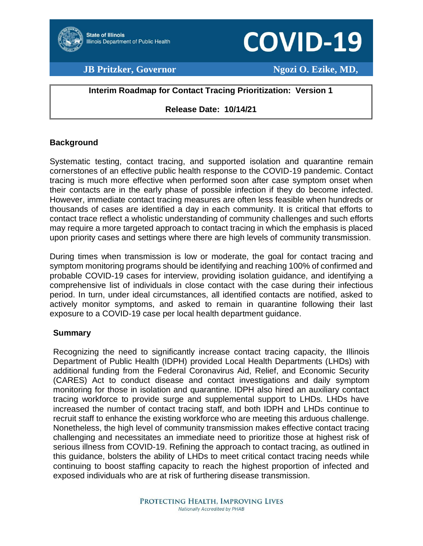

**Director**

# **COVID-19**

### **JB Pritzker, Governor Ngozi O. Ezike, MD,**

#### **Interim Roadmap for Contact Tracing Prioritization: Version 1**

#### **Release Date: 10/14/21**

#### **Background**

Systematic testing, contact tracing, and supported isolation and quarantine remain cornerstones of an effective public health response to the COVID-19 pandemic. Contact tracing is much more effective when performed soon after case symptom onset when their contacts are in the early phase of possible infection if they do become infected. However, immediate contact tracing measures are often less feasible when hundreds or thousands of cases are identified a day in each community. It is critical that efforts to contact trace reflect a wholistic understanding of community challenges and such efforts may require a more targeted approach to contact tracing in which the emphasis is placed upon priority cases and settings where there are high levels of community transmission.

During times when transmission is low or moderate, the goal for contact tracing and symptom monitoring programs should be identifying and reaching 100% of confirmed and probable COVID-19 cases for interview, providing isolation guidance, and identifying a comprehensive list of individuals in close contact with the case during their infectious period. In turn, under ideal circumstances, all identified contacts are notified, asked to actively monitor symptoms, and asked to remain in quarantine following their last exposure to a COVID-19 case per local health department guidance.

#### **Summary**

Recognizing the need to significantly increase contact tracing capacity, the Illinois Department of Public Health (IDPH) provided Local Health Departments (LHDs) with additional funding from the Federal Coronavirus Aid, Relief, and Economic Security (CARES) Act to conduct disease and contact investigations and daily symptom monitoring for those in isolation and quarantine. IDPH also hired an auxiliary contact tracing workforce to provide surge and supplemental support to LHDs. LHDs have increased the number of contact tracing staff, and both IDPH and LHDs continue to recruit staff to enhance the existing workforce who are meeting this arduous challenge. Nonetheless, the high level of community transmission makes effective contact tracing challenging and necessitates an immediate need to prioritize those at highest risk of serious illness from COVID-19. Refining the approach to contact tracing, as outlined in this guidance, bolsters the ability of LHDs to meet critical contact tracing needs while continuing to boost staffing capacity to reach the highest proportion of infected and exposed individuals who are at risk of furthering disease transmission.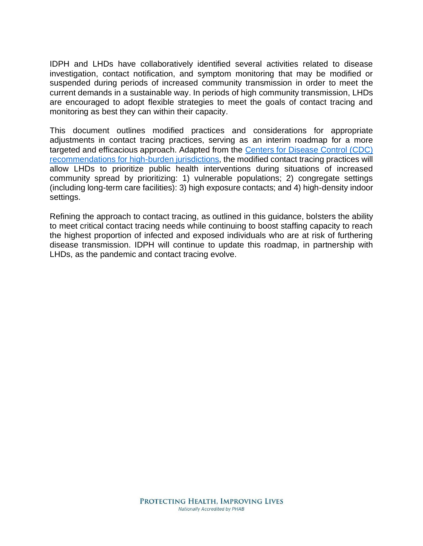IDPH and LHDs have collaboratively identified several activities related to disease investigation, contact notification, and symptom monitoring that may be modified or suspended during periods of increased community transmission in order to meet the current demands in a sustainable way. In periods of high community transmission, LHDs are encouraged to adopt flexible strategies to meet the goals of contact tracing and monitoring as best they can within their capacity.

This document outlines modified practices and considerations for appropriate adjustments in contact tracing practices, serving as an interim roadmap for a more targeted and efficacious approach. Adapted from the [Centers for Disease Control \(CDC\)](https://www.cdc.gov/coronavirus/2019-ncov/php/contact-tracing/contact-tracing-plan/prioritization.html)  [recommendations for high-burden jurisdictions,](https://www.cdc.gov/coronavirus/2019-ncov/php/contact-tracing/contact-tracing-plan/prioritization.html) the modified contact tracing practices will allow LHDs to prioritize public health interventions during situations of increased community spread by prioritizing: 1) vulnerable populations; 2) congregate settings (including long-term care facilities): 3) high exposure contacts; and 4) high-density indoor settings.

Refining the approach to contact tracing, as outlined in this guidance, bolsters the ability to meet critical contact tracing needs while continuing to boost staffing capacity to reach the highest proportion of infected and exposed individuals who are at risk of furthering disease transmission. IDPH will continue to update this roadmap, in partnership with LHDs, as the pandemic and contact tracing evolve.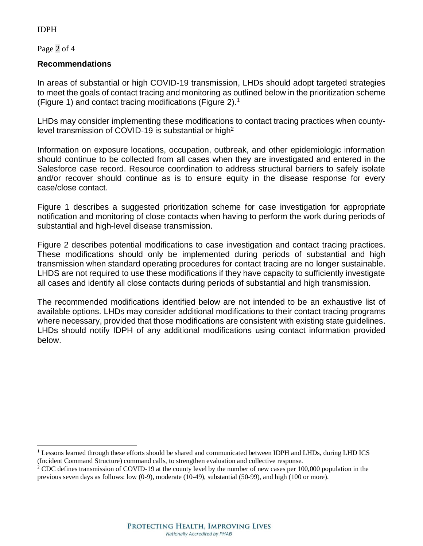#### IDPH

Page 2 of 4

#### **Recommendations**

In areas of substantial or high COVID-19 transmission, LHDs should adopt targeted strategies to meet the goals of contact tracing and monitoring as outlined below in the prioritization scheme (Figure 1) and contact tracing modifications (Figure 2).<sup>1</sup>

LHDs may consider implementing these modifications to contact tracing practices when countylevel transmission of COVID-19 is substantial or high<sup>2</sup>

Information on exposure locations, occupation, outbreak, and other epidemiologic information should continue to be collected from all cases when they are investigated and entered in the Salesforce case record. Resource coordination to address structural barriers to safely isolate and/or recover should continue as is to ensure equity in the disease response for every case/close contact.

Figure 1 describes a suggested prioritization scheme for case investigation for appropriate notification and monitoring of close contacts when having to perform the work during periods of substantial and high-level disease transmission.

Figure 2 describes potential modifications to case investigation and contact tracing practices. These modifications should only be implemented during periods of substantial and high transmission when standard operating procedures for contact tracing are no longer sustainable. LHDS are not required to use these modifications if they have capacity to sufficiently investigate all cases and identify all close contacts during periods of substantial and high transmission.

The recommended modifications identified below are not intended to be an exhaustive list of available options. LHDs may consider additional modifications to their contact tracing programs where necessary, provided that those modifications are consistent with existing state guidelines. LHDs should notify IDPH of any additional modifications using contact information provided below.

<sup>&</sup>lt;sup>1</sup> Lessons learned through these efforts should be shared and communicated between IDPH and LHDs, during LHD ICS (Incident Command Structure) command calls, to strengthen evaluation and collective response.

<sup>&</sup>lt;sup>2</sup> CDC defines transmission of COVID-19 at the county level by the number of new cases per 100,000 population in the previous seven days as follows: low (0-9), moderate (10-49), substantial (50-99), and high (100 or more).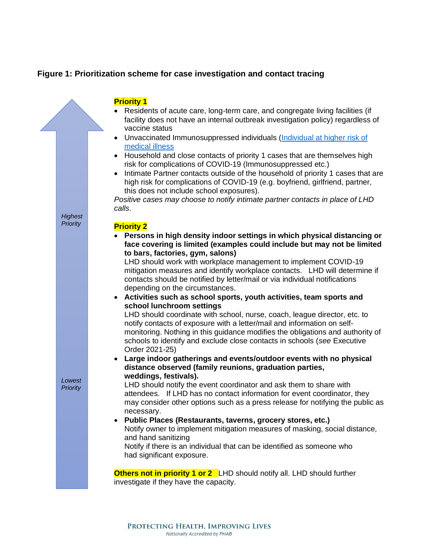#### **Figure 1: Prioritization scheme for case investigation and contact tracing**

## **Priority 1**

- Residents of acute care, long-term care, and congregate living facilities (if facility does not have an internal outbreak investigation policy) regardless of vaccine status
- Unvaccinated Immunosuppressed individuals [\(Individual at higher risk of](https://www.cdc.gov/coronavirus/2019-ncov/hcp/clinical-care/underlyingconditions.html)  [medical illness](https://www.cdc.gov/coronavirus/2019-ncov/hcp/clinical-care/underlyingconditions.html)
- Household and close contacts of priority 1 cases that are themselves high risk for complications of COVID-19 (Immunosuppressed etc.)
- Intimate Partner contacts outside of the household of priority 1 cases that are high risk for complications of COVID-19 (e.g. boyfriend, girlfriend, partner, this does not include school exposures).

*Positive cases may choose to notify intimate partner contacts in place of LHD calls*.

#### **Priority 2**

*Highest Priority*

*Lowest Priority* • **Persons in high density indoor settings in which physical distancing or face covering is limited (examples could include but may not be limited to bars, factories, gym, salons)**

LHD should work with workplace management to implement COVID-19 mitigation measures and identify workplace contacts. LHD will determine if contacts should be notified by letter/mail or via individual notifications depending on the circumstances.

• **Activities such as school sports, youth activities, team sports and school lunchroom settings** 

LHD should coordinate with school, nurse, coach, league director, etc. to notify contacts of exposure with a letter/mail and information on selfmonitoring. Nothing in this guidance modifies the obligations and authority of schools to identify and exclude close contacts in schools (*see* Executive Order 2021-25)

• **Large indoor gatherings and events/outdoor events with no physical distance observed (family reunions, graduation parties, weddings, festivals).** 

LHD should notify the event coordinator and ask them to share with attendees. If LHD has no contact information for event coordinator, they may consider other options such as a press release for notifying the public as necessary.

#### • **Public Places (Restaurants, taverns, grocery stores, etc.)**  Notify owner to implement mitigation measures of masking, social distance, and hand sanitizing Notify if there is an individual that can be identified as someone who had significant exposure.

**Others not in priority 1 or 2** LHD should notify all. LHD should further investigate if they have the capacity.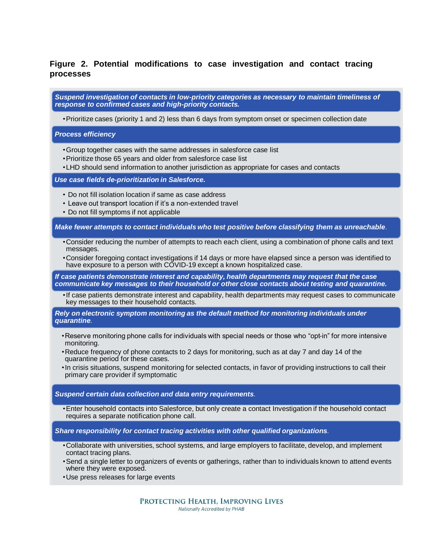#### **Figure 2. Potential modifications to case investigation and contact tracing processes**

*Suspend investigation of contacts in low-priority categories as necessary to maintain timeliness of response to confirmed cases and high-priority contacts.*

•Prioritize cases (priority 1 and 2) less than 6 days from symptom onset or specimen collection date

*Process efficiency*

- •Group together cases with the same addresses in salesforce case list
- •Prioritize those 65 years and older from salesforce case list
- •LHD should send information to another jurisdiction as appropriate for cases and contacts

*Use case fields de-prioritization in Salesforce.*

- Do not fill isolation location if same as case address
- Leave out transport location if it's a non-extended travel
- Do not fill symptoms if not applicable

*Make fewer attempts to contact individuals who test positive before classifying them as unreachable.*

- •Consider reducing the number of attempts to reach each client, using a combination of phone calls and text messages.
- •Consider foregoing contact investigations if 14 days or more have elapsed since a person was identified to have exposure to a person with COVID-19 except a known hospitalized case.

*If case patients demonstrate interest and capability, health departments may request that the case communicate key messages to their household or other close contacts about testing and quarantine.*

•If case patients demonstrate interest and capability, health departments may request cases to communicate key messages to their household contacts.

*Rely on electronic symptom monitoring as the default method for monitoring individuals under quarantine.*

- •Reserve monitoring phone calls for individuals with special needs or those who "opt-in" for more intensive monitoring.
- •Reduce frequency of phone contacts to 2 days for monitoring, such as at day 7 and day 14 of the quarantine period for these cases.
- •In crisis situations, suspend monitoring for selected contacts, in favor of providing instructions to call their primary care provider if symptomatic

*Suspend certain data collection and data entry requirements.*

•Enter household contacts into Salesforce, but only create a contact Investigation if the household contact requires a separate notification phone call.

*Share responsibility for contact tracing activities with other qualified organizations.*

- •Collaborate with universities, school systems, and large employers to facilitate, develop, and implement contact tracing plans.
- •Send a single letter to organizers of events or gatherings, rather than to individuals known to attend events where they were exposed.
- •Use press releases for large events